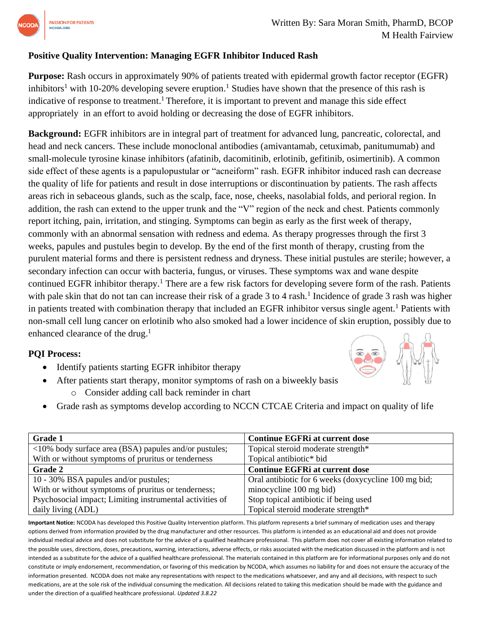

## **Positive Quality Intervention: Managing EGFR Inhibitor Induced Rash**

**Purpose:** Rash occurs in approximately 90% of patients treated with epidermal growth factor receptor (EGFR) inhibitors<sup>1</sup> with 10-20% developing severe eruption.<sup>1</sup> Studies have shown that the presence of this rash is indicative of response to treatment.<sup>1</sup> Therefore, it is important to prevent and manage this side effect appropriately in an effort to avoid holding or decreasing the dose of EGFR inhibitors.

**Background:** EGFR inhibitors are in integral part of treatment for advanced lung, pancreatic, colorectal, and head and neck cancers. These include monoclonal antibodies (amivantamab, cetuximab, panitumumab) and small-molecule tyrosine kinase inhibitors (afatinib, dacomitinib, erlotinib, gefitinib, osimertinib). A common side effect of these agents is a papulopustular or "acneiform" rash. EGFR inhibitor induced rash can decrease the quality of life for patients and result in dose interruptions or discontinuation by patients. The rash affects areas rich in sebaceous glands, such as the scalp, face, nose, cheeks, nasolabial folds, and perioral region. In addition, the rash can extend to the upper trunk and the "V" region of the neck and chest. Patients commonly report itching, pain, irritation, and stinging. Symptoms can begin as early as the first week of therapy, commonly with an abnormal sensation with redness and edema. As therapy progresses through the first 3 weeks, papules and pustules begin to develop. By the end of the first month of therapy, crusting from the purulent material forms and there is persistent redness and dryness. These initial pustules are sterile; however, a secondary infection can occur with bacteria, fungus, or viruses. These symptoms wax and wane despite continued EGFR inhibitor therapy.<sup>1</sup> There are a few risk factors for developing severe form of the rash. Patients with pale skin that do not tan can increase their risk of a grade 3 to 4 rash.<sup>1</sup> Incidence of grade 3 rash was higher in patients treated with combination therapy that included an EGFR inhibitor versus single agent.<sup>1</sup> Patients with non-small cell lung cancer on erlotinib who also smoked had a lower incidence of skin eruption, possibly due to enhanced clearance of the drug.<sup>1</sup>

## **PQI Process:**

- Identify patients starting EGFR inhibitor therapy
- After patients start therapy, monitor symptoms of rash on a biweekly basis
	- o Consider adding call back reminder in chart



| <b>Grade 1</b>                                           | <b>Continue EGFRi at current dose</b>                |
|----------------------------------------------------------|------------------------------------------------------|
| <10% body surface area (BSA) papules and/or pustules;    | Topical steroid moderate strength*                   |
| With or without symptoms of pruritus or tenderness       | Topical antibiotic* bid                              |
| Grade 2                                                  | <b>Continue EGFRi at current dose</b>                |
| 10 - 30% BSA papules and/or pustules;                    | Oral antibiotic for 6 weeks (doxycycline 100 mg bid; |
| With or without symptoms of pruritus or tenderness;      | minocycline 100 mg bid)                              |
| Psychosocial impact; Limiting instrumental activities of | Stop topical antibiotic if being used                |
| daily living (ADL)                                       | Topical steroid moderate strength*                   |

**Important Notice:** NCODA has developed this Positive Quality Intervention platform. This platform represents a brief summary of medication uses and therapy options derived from information provided by the drug manufacturer and other resources. This platform is intended as an educational aid and does not provide individual medical advice and does not substitute for the advice of a qualified healthcare professional. This platform does not cover all existing information related to the possible uses, directions, doses, precautions, warning, interactions, adverse effects, or risks associated with the medication discussed in the platform and is not intended as a substitute for the advice of a qualified healthcare professional. The materials contained in this platform are for informational purposes only and do not constitute or imply endorsement, recommendation, or favoring of this medication by NCODA, which assumes no liability for and does not ensure the accuracy of the information presented. NCODA does not make any representations with respect to the medications whatsoever, and any and all decisions, with respect to such medications, are at the sole risk of the individual consuming the medication. All decisions related to taking this medication should be made with the guidance and under the direction of a qualified healthcare professional. *Updated 3.8.22*